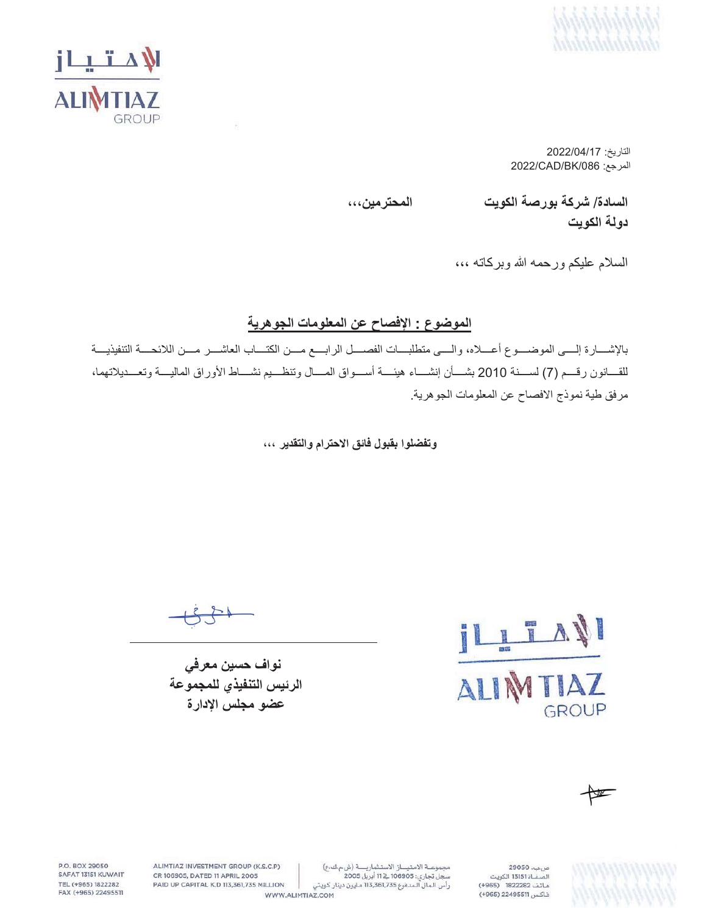



التاريخ: 2022/04/17  $2022$ /CAD/BK/086 (المرجع

**ˬˬˬϥϳϣέΗΣϣϟ ΕϳϭϛϟΔλέϭΑΔϛέη** /**ΓΩΎγϟ**

دولة الكوي*ت* 

السلام عليكم ورحمه الله وبركاته ،،،

### الموضوع : الإفصاح ع*ن* المعلومات الجوهرية

بالإشـــارة إلـــي الموضــــوع أعــــلاه، والــــي متطلبــــات الفصــــل الرابــــع مــــن الكتــــاب العاشــــر مــــن اللائحــــة التنفيذيــــة للقسانون رقسم (7) لسسنة 2010 بشسأن إنشساء هيئسة أسسواق المسال وتنظسيم نشساط الأوراق الماليسة وتعسديلاتهما، مرفق طية نموذج الافصاح عن المعلومات الجوهرية.

وتفضلوا بقبول فائق الاحترام والتقدير ،،،

نواف حسین معرف*ی* الرئيس التنفيذي للمجموعة عضو مجلس الإدارة

T **AVI**  $\mathbb{R}$ A GROUP

♦

ص بب، 29050 .<br>الصفاة 13151 الكويت هاتف 1822282 (4965) فاكس 22495511 (965+)

مجموعة الامتياز الاستثمارية (ش.م ك.ع) سجل تجاري: 106905 في 11 أبريل 2005 رأس الـمال الـمدفوع 113,361,735 مـليون دينار كـويتي

ALIMTIAZ INVESTMENT GROUP (K.S.C.P) CR 106905, DATED 11 APRIL 2005 PAID UP CAPITAL K.D 113,361,735 MILLION

P.O. BOX 29050

SAFAT 13151 KUWAIT

TEL (+965) 1822282

FAX (+965) 22495511

WWW.ALIMTIAZ.COM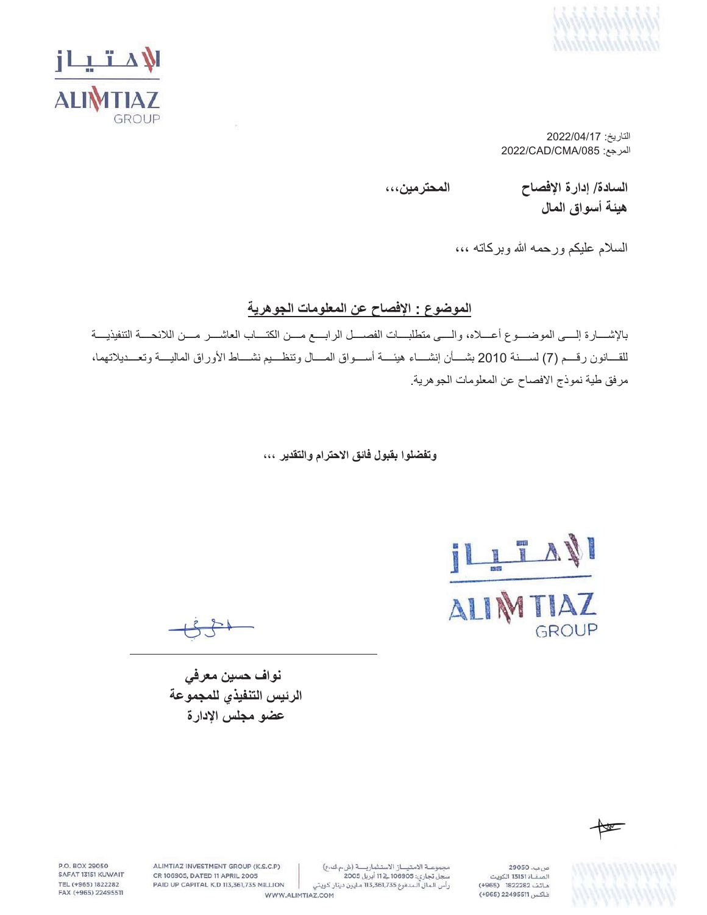



التاريخ: 2022/04/17 2022/CAD/CMA/085 (المرجع:

**ˬˬˬϥϳϣέΗΣϣϟ ΡΎλϓϹΓέΩ·** /**ΓΩΎγϟ** هيئة أسواق المال

السلام عليكم ورحمه الله وبركاته ،،،

#### الموضوع : الإفصاح عن المعلومات الجوهرية

بالإشــارة إلـــي الموضـــوع أعـــلاه، والـــي متطلبـــات الفصـــل الرابـــع مـــن الكتـــاب العاشـــر مـــن اللائحـــة التنفيذيـــة للقسانون رفسم (7) لسسنة 2010 بشسأن إنشساء هيئسة أسسواق المسال وتنظسيم نشساط الأوراق الماليسة وتعسديلاتهما، مرفق طية نموذج الافصاح عن المعلومات الجوهرية.

**وتفضلوا بقبول فائق الاحترام والتقدير ،،،** 

<u>ILITANI</u>

TIAZ ALIN GROUP

نواف حسين معرف*ي* الرئيس التنفيذي للمجموعة عضو مجلس الإدارة



29050 .  $\mu$ .<br>الصفاة 13151 الكويت هاتف 1822282 (4965) فاكس 22495511 (+965)

مجموعة الامتياز الاستثمارية (ش.م ك.ع) رأس الـمال الـمدفوع 113,361,735 مـليون دينار كـويتي

WWW.ALIMTIAZ.COM

ALIMTIAZ INVESTMENT GROUP (K.S.C.P) CR 106905, DATED 11 APRIL 2005

P.O. BOX 29050

SAFAT 13151 KUWAIT

TEL (+965) 1822282

FAX (+965) 22495511

PAID UP CAPITAL K.D 113,361,735 MILLION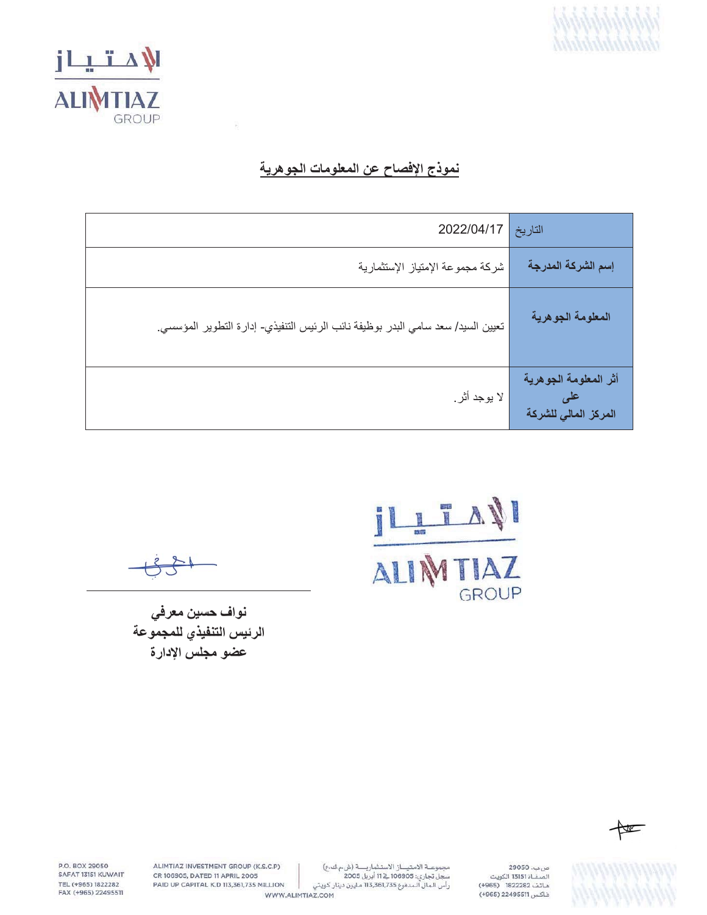



## نموذج الإفصاح عن المعلومات الجوهرية

| 2022/04/17                                                                      | التاريخ                                       |
|---------------------------------------------------------------------------------|-----------------------------------------------|
| شركة مجموعة الإمتياز الإستثمارية                                                | إسم الشركة المدرجة                            |
| تعيين السيد/ سعد سامي البدر بوظيفة نائب الرئيس التنفيذي- إدارة التطوير المؤسسي. | المعلومة الجوهرية                             |
| لا يوجد أثر .                                                                   | أثر المعلومة الجوهرية<br>المركز المالي للشركة |

IL TAN GROUP

نواف حسين معرفي الرئيس التنفيذي للمجموعة عضو مجلس الإدارة



P.O. BOX 29050 SAFAT 13151 KUWAIT TEL (+965) 1822282 FAX (+965) 22495511

ALIMTIAZ INVESTMENT GROUP (K.S.C.P) CR 106905, DATED 11 APRIL 2005 PAID UP CAPITAL K.D 113,361,735 MILLION

مجموعة الامتياز الاستثمارية (ش.م ك.ع) مبسوعت المسيحين المستدريت رس م تاريخ<br>سجل تجاري: 116905 في 11 أبريل 2005<br>رأس الـمال الـمدفوع 113,361,735 مليون دينار كـويتي

WWW.ALIMTIAZ.COM

صب. 29050 س.ب. 13150 الكويت<br>الصفـاة 13151 الكويت<br>هـاتـف 1822282 (1965+) فاكس 22495511 (+965)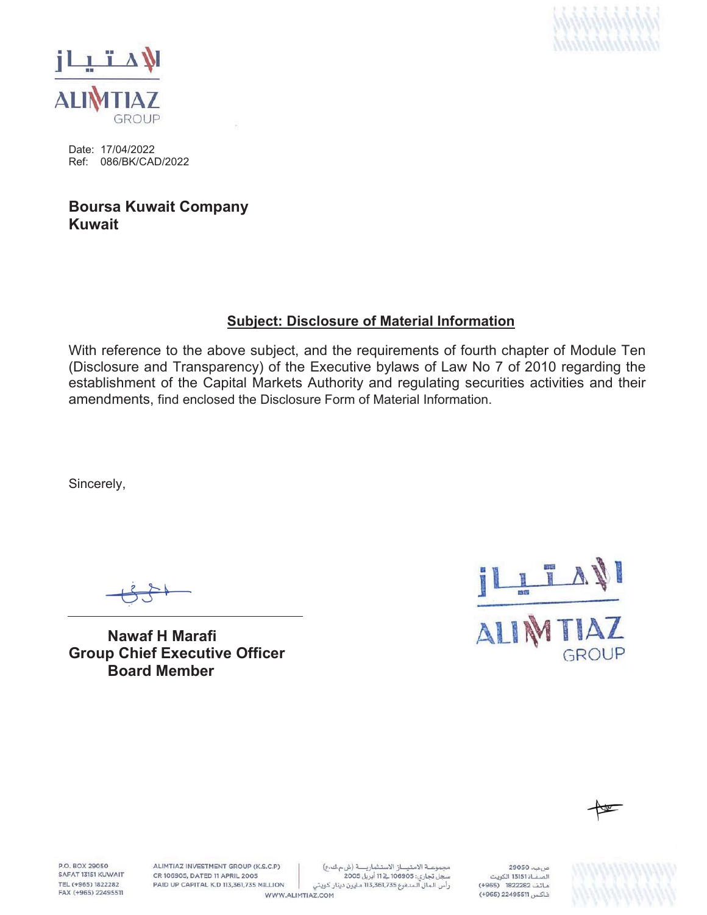



Date: 17/04/2022 Ref: 086/BK/CAD/2022

**Boursa Kuwait Company Kuwait**

#### **Subject: Disclosure of Material Information**

With reference to the above subject, and the requirements of fourth chapter of Module Ten (Disclosure and Transparency) of the Executive bylaws of Law No 7 of 2010 regarding the establishment of the Capital Markets Authority and regulating securities activities and their amendments, find enclosed the Disclosure Form of Material Information.

Sincerely,

**Nawaf H Marafi Group Chief Executive Officer Board Member**





**P.O. ROY 29050** SAFAT 13151 KUWAIT TEL (+965) 1822282 FAX (+965) 22495511 ALIMTIAZ INVESTMENT GROUP (K.S.C.P) CR 106905, DATED 11 APRIL 2005 PAID UP CAPITAL K.D 113,361,735 MILLION

مجموعة الامتياز الاستثمارية (ش مك ع) سجل تجاري: 106905 فے 11 أبريل 2005 رأس الـمال الـمدفوع 113,361,735 مـليون دينار كـويتي WWW.ALIMTIAZ.COM

ص بب، 29050 .<br>الصفــاة 13151 الكويت هاتف 1822282 (4965) فاكس 22495511 (965+)